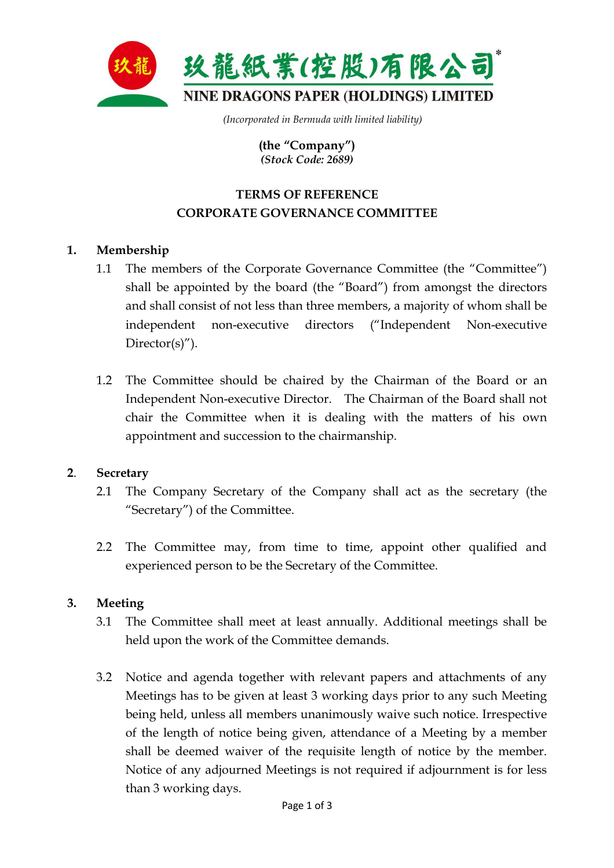

 *(Incorporated in Bermuda with limited liability)* 

**(the "Company")**  *(Stock Code: 2689)* 

# **TERMS OF REFERENCE CORPORATE GOVERNANCE COMMITTEE**

## **1. Membership**

- 1.1 The members of the Corporate Governance Committee (the "Committee") shall be appointed by the board (the "Board") from amongst the directors and shall consist of not less than three members, a majority of whom shall be independent non-executive directors ("Independent Non-executive Director $(s)$ ").
- 1.2 The Committee should be chaired by the Chairman of the Board or an Independent Non-executive Director. The Chairman of the Board shall not chair the Committee when it is dealing with the matters of his own appointment and succession to the chairmanship.

### **2**. **Secretary**

- 2.1 The Company Secretary of the Company shall act as the secretary (the "Secretary") of the Committee.
- 2.2 The Committee may, from time to time, appoint other qualified and experienced person to be the Secretary of the Committee.

### **3. Meeting**

- 3.1 The Committee shall meet at least annually. Additional meetings shall be held upon the work of the Committee demands.
- 3.2 Notice and agenda together with relevant papers and attachments of any Meetings has to be given at least 3 working days prior to any such Meeting being held, unless all members unanimously waive such notice. Irrespective of the length of notice being given, attendance of a Meeting by a member shall be deemed waiver of the requisite length of notice by the member. Notice of any adjourned Meetings is not required if adjournment is for less than 3 working days.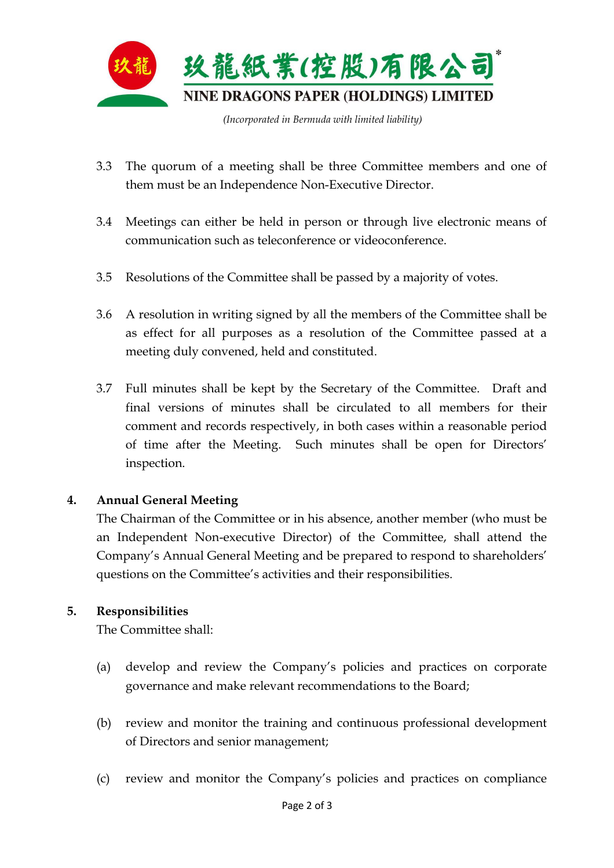

- 3.3The quorum of a meeting shall be three Committee members and one of them must be an Independence Non-Executive Director.
- 3.4 Meetings can either be held in person or through live electronic means of communication such as teleconference or videoconference.
- 3.5 Resolutions of the Committee shall be passed by a majority of votes.
- 3.6 A resolution in writing signed by all the members of the Committee shall be as effect for all purposes as a resolution of the Committee passed at a meeting duly convened, held and constituted.
- 3.7 Full minutes shall be kept by the Secretary of the Committee. Draft and final versions of minutes shall be circulated to all members for their comment and records respectively, in both cases within a reasonable period of time after the Meeting. Such minutes shall be open for Directors' inspection.

### **4. Annual General Meeting**

 The Chairman of the Committee or in his absence, another member (who must be an Independent Non-executive Director) of the Committee, shall attend the Company's Annual General Meeting and be prepared to respond to shareholders' questions on the Committee's activities and their responsibilities.

### **5. Responsibilities**

The Committee shall:

- (a) develop and review the Company's policies and practices on corporate governance and make relevant recommendations to the Board;
- (b) review and monitor the training and continuous professional development of Directors and senior management;
- (c) review and monitor the Company's policies and practices on compliance